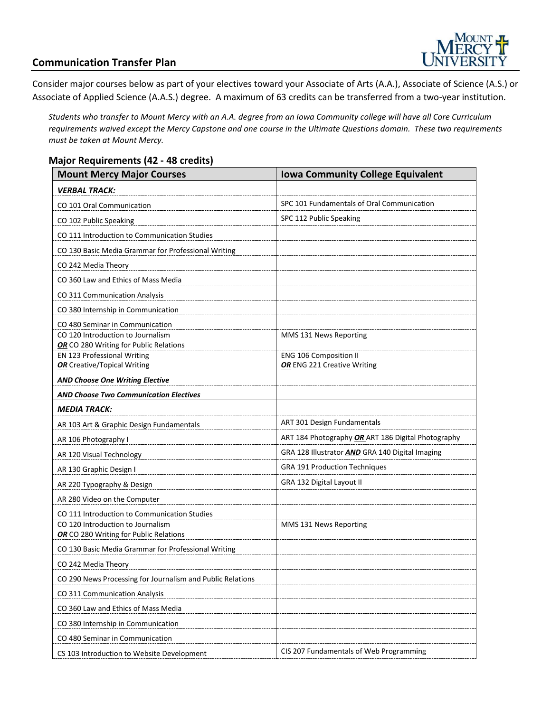

### **Communication Transfer Plan**

Consider major courses below as part of your electives toward your Associate of Arts (A.A.), Associate of Science (A.S.) or Associate of Applied Science (A.A.S.) degree. A maximum of 63 credits can be transferred from a two-year institution.

*Students who transfer to Mount Mercy with an A.A. degree from an Iowa Community college will have all Core Curriculum requirements waived except the Mercy Capstone and one course in the Ultimate Questions domain. These two requirements must be taken at Mount Mercy.* 

#### **Major Requirements (42 - 48 credits)**

| <b>Mount Mercy Major Courses</b>                                      | <b>Iowa Community College Equivalent</b>           |
|-----------------------------------------------------------------------|----------------------------------------------------|
| <i><b>VERBAL TRACK:</b></i>                                           |                                                    |
| CO 101 Oral Communication                                             | SPC 101 Fundamentals of Oral Communication         |
| CO 102 Public Speaking                                                | SPC 112 Public Speaking                            |
| CO 111 Introduction to Communication Studies                          |                                                    |
| CO 130 Basic Media Grammar for Professional Writing                   |                                                    |
| CO 242 Media Theory                                                   |                                                    |
| CO 360 Law and Ethics of Mass Media                                   |                                                    |
| CO 311 Communication Analysis                                         |                                                    |
| CO 380 Internship in Communication                                    |                                                    |
| CO 480 Seminar in Communication                                       |                                                    |
| CO 120 Introduction to Journalism                                     | MMS 131 News Reporting                             |
| OR CO 280 Writing for Public Relations<br>EN 123 Professional Writing | <b>ENG 106 Composition II</b>                      |
| <b>OR</b> Creative/Topical Writing                                    | OR ENG 221 Creative Writing                        |
| AND Choose One Writing Elective                                       |                                                    |
| <b>AND Choose Two Communication Electives</b>                         |                                                    |
| <b>MEDIA TRACK:</b>                                                   |                                                    |
| AR 103 Art & Graphic Design Fundamentals                              | ART 301 Design Fundamentals                        |
| AR 106 Photography I                                                  | ART 184 Photography OR ART 186 Digital Photography |
| AR 120 Visual Technology                                              | GRA 128 Illustrator AND GRA 140 Digital Imaging    |
| AR 130 Graphic Design I                                               | GRA 191 Production Techniques                      |
| AR 220 Typography & Design                                            | GRA 132 Digital Layout II                          |
| AR 280 Video on the Computer                                          |                                                    |
| CO 111 Introduction to Communication Studies                          |                                                    |
| CO 120 Introduction to Journalism                                     | MMS 131 News Reporting                             |
| OR CO 280 Writing for Public Relations                                |                                                    |
| CO 130 Basic Media Grammar for Professional Writing                   |                                                    |
| CO 242 Media Theory                                                   |                                                    |
| CO 290 News Processing for Journalism and Public Relations            |                                                    |
| CO 311 Communication Analysis                                         |                                                    |
| CO 360 Law and Ethics of Mass Media                                   |                                                    |
| CO 380 Internship in Communication                                    |                                                    |
| CO 480 Seminar in Communication                                       |                                                    |
| CS 103 Introduction to Website Development                            | CIS 207 Fundamentals of Web Programming            |